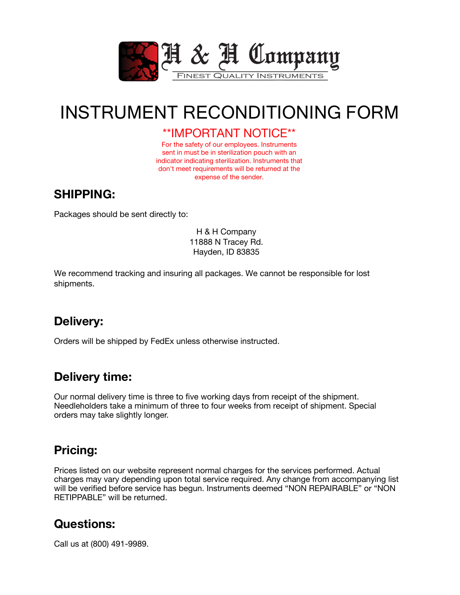

# INSTRUMENT RECONDITIONING FORM

#### \*\*IMPORTANT NOTICE\*\*

For the safety of our employees. Instruments sent in must be in sterilization pouch with an indicator indicating sterilization. Instruments that don't meet requirements will be returned at the expense of the sender.

## **SHIPPING:**

Packages should be sent directly to:

H & H Company 11888 N Tracey Rd. Hayden, ID 83835

We recommend tracking and insuring all packages. We cannot be responsible for lost shipments.

### **Delivery:**

Orders will be shipped by FedEx unless otherwise instructed.

### **Delivery time:**

Our normal delivery time is three to five working days from receipt of the shipment. Needleholders take a minimum of three to four weeks from receipt of shipment. Special orders may take slightly longer.

## **Pricing:**

Prices listed on our website represent normal charges for the services performed. Actual charges may vary depending upon total service required. Any change from accompanying list will be verified before service has begun. Instruments deemed "NON REPAIRABLE" or "NON RETIPPABLE" will be returned.

### **Questions:**

Call us at (800) 491-9989.